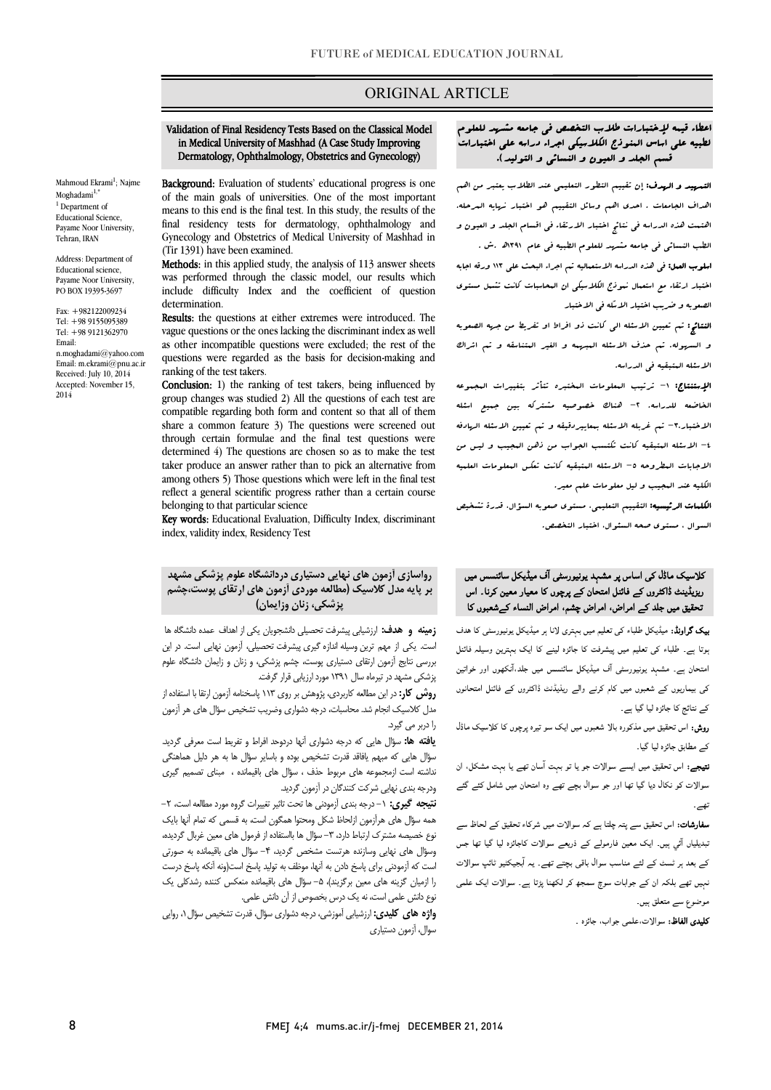# ORIGINAL ARTICLE

#### in Medical University of Mashhad (A Case Study Improving Dermatology, Ophthalmology, Obstetrics and Gynecology)Validation of Final Residency Tests Based on the Classical Model

Ī

Background: Evaluation of students' educational progress is one of the main goals of universities. One of the most important means to this end is the final test. In this study, the results of the Gynecology and Obstetrics of Medical University of Mashhad in final residency tests for dermatology, ophthalmology and (Tir 1391) have been examined.

Methods: in this applied study, the analysis of 113 answer sheets include difficulty Index and the coefficient of question was performed through the classic model, our results which determination.

 vague questions or the ones lacking the discriminant index as well as other incompatible questions were excluded; the rest of the questions were regarded as the basis for decision-making and Results: the questions at either extremes were introduced. The ranking of the test takers.

**Conclusion:** 1) the ranking of test takers, being influenced by group changes was studied 2) All the questions of each test are compatible regarding both form and content so that all of them through certain formulae and the final test questions were determined 4) The questions are chosen so as to make the test among others 5) Those questions which were left in the final test reflect a general scientific progress rather than a certain course share a common feature 3) The questions were screened out taker produce an answer rather than to pick an alternative from belonging to that particular science

befoliging to that particular science<br>**Key words:** Educational Evaluation, Difficulty Index, discriminant index, validity index, Residency Test

# رواسازي آزمون هاي نهایی دستیاري دردانشگاه علوم پزشکی مشهد بر پایه مدل کلاسیک (مطالعه موردي آزمون هاي ارتقاي پوست،چشم پزشکی، زنان وزایمان)

 زمینه و هدف: ارزشیابی پیشرفت تحصیلی دانشجویان یکی از اهداف عمده دانشگاه ها است. یکی از مهم ترین وسیله اندازه گیري پیشرفت تحصیلی، آزمون نهایی است. در این بررسی نتایج آزمون ارتقاي دستیاري پوست، چشم پزشکی، و زنان و زایمان دانشگاه علوم پزشکی مشهد در تیرماه سال 1391 مورد ارزیابی قرار گرفت.

**روش کار:** در این مطالعه کاربردی، پژوهش بر روی ۱۱۳ پاسخنامه آزمون ارتقا با استفاده از مدل کلاسیک انجام شد. محاسبات، درجه دشواری وضریب تشخیص سؤال های هر آزمون<br>. را دربر می گیرد.

ر مورد ت<br>**یافته ها:** سؤال هایی که درجه دشواری آنها دردوحد افراط و تفریط است معرفی گردید. سؤال هایی که مبهم یافاقد قدرت تشخیص بوده و باسایر سؤال ها به هر دلیل هماهنگی نداشته است ازمجموعه هاي مربوط حذف ، سؤال هاي باقیمانده ، مبناي تصمیم گیري ودرجه بندي نهایی شرکت کنندگان در آزمون گردید.

**نتیجه گیری:** ۱-درجه بندی آزمودنی ها تحت تاثیر تغییرات گروه مورد مطالعه است، ۲-<br>-نوع خصیصه مشترک ارترن (<br>نوع خصیصه مشترک ارتباط دارد، ۳–سؤال ها بااستفاده از فرمول های معین غربال گردیده، وسؤال هاي نهایی وسازنده هرتست مشخص گردید، -4 سؤال هاي باقیمانده به صورتی است که آزمودنی براي پاسخ دادن به آنها، موظف به تولید پاسخ است(ونه آنکه پاسخ درست را ازمیان گزینه های معین برگزیند)، ۵– سؤال های باقیمانده منعکس کننده رشدکلی یک نوع دانش علمی است، نه یک درس بخصوص از آن دانش علمی. همه سؤال هاي هرآزمون ازلحاظ شکل ومحتوا همگون است، به قسمی که تمام آنها بایک

**واژه های کلیدی:** ارزشیابی آموزشی، درجه دشواری سؤال، قدرت تشخیص سؤال ۰، روایی<br>سالمی آمریکی در این مورد سوال، آزمون دستیاري

# اعطاء قیمه لإختبارات طلاب التخصص فی جامعه مشهد للعلوم لطبیه علی اساس المنوذج الکلاسیکی اجراء دراسه علی اختبارات قسم الجلد و العیون و النسائی و التولید).

Ī

ا**لتسهید و الهدف:** إن تقییم التطور التعلیمی عند الطلاب یعتبر من اهم<br>. اهداف الجامعات . احدي اهم وسائل التقییم هو اختبار نهایه المرحله. اهتمت هذه الدراسه فی نتائج اختبار الارتقاء فی اقسام الجلد و العیون و الطب النسائی فی جامعه مشهد للعلوم الطبیه فی عام 1391هد.ش .

 اسلوب العمل: فی هذه الدراسه الاستعمالیه تم اجراء البحث علی 113 ورقه اجابه اختبار ارتقاء مع استعمال نموذج الکلاسیکی ان المحاسبات کانت تشمل مستوي الصعوبه و ضریب اختیار الاسله فی الاختبار

 النتائج: تم تعیین الاسئله الی کانت ذو افراط او تفریط من جهه الصعوبه و السهوله. تم حذف الاسئله المبهمه و الغیر المتناسقه و تم اشراك الاسئله المتبقیه فی الدراسه.

 الإستنتاج: -1 ترتیب المعلومات المختبره تتأثر بتغییرات المجموعه الخاضعه للدراسه. -2 هناك خصوصیه مشترکه بین جمیع اسئله الاختبار-3. تم غربله الاسئله بمعاییردقیقه و تم تعیین الاسئله الهادفه -4 الاسئله المتبقیه کانت تکتسب الجواب من ذهن المجیب و لیس من الاجابات البطروحه ٥– الاسئله البتبقیه کانت تعکس البعلومات العلمیه<br>. الکلیه عند المجیب و لیل معلومات علم معیر.

 الکلمات الرئیسیه: التقییم التعلیمی، مستوي صعوبه السؤال، قدرة تشخیص السوال ، مستوي صحه السئوال، اختبار التخصص.

# ۔<br>کلاسیک ماڈل کی اساس پر مشہد یونیورسٹی آف میڈیکل سائنسس میں ں۔<br>ریزیلینٹ ڈاکٹروں کے فائنل امتحان کے پرچوں کا معیار معین کرنا۔ اس نحقیق میں جلد کے امراض، امراض چشم، امراض النساء کےشعبوں کا

ی<br>یک گراونڈ: میڈیکل طلباء کی تعلیم میں بہتری لانا ہر میڈیکل یونیورسٹی کا ہدف ہو ۔<br>بوتا ہے۔ طلباء کی تعلیم میں پیشرفت کا جائزہ لینے کا ایک بہترین وسیلہ فائنل .<br>امتحان ہے۔ مشہد یونیورسٹی آف میڈیکل سائنسس میں جلد،آنکھوں اور خواتین ۔ اب میں اس میں اس کے معامل ہو گیا ہے۔ اس میں اس کے معاملے کی معاملے کی معاملے کی معاملے کی معاملے کی معاملے ک<br>کی بیماریوں کے شعبوں میں کام کرنے والے ریڈیڈنٹ ڈاکٹروں کے فائنل امتحانوں j کے نتائج کا جائزہ لیا گیا ہے۔

**روش:** اس تحقیق میں مذکورہ بالا شعبوں میں ایک سو تیرہ پرچوں کا کلاسیک ماڈل<br>۔ کے مطابق جائزہ لیا گیا۔

**تیجے:** اس تحقیق میں ایسے سوالات جو یا تو بہت آسان تھے یا بہت مشکل، ان<br>. سوالات کو نکال دیا گیا تھا اور جو سوال بچے تھے وہ امتحان میں شامل کئے گئے<br>۔ ۔

**سفارشات:** اس تحقیق سے پتہ چلتا ہے کہ سوالات میں شرکاء تحقیق کے لحاظ سے<br>۔ نبدیلیاں آئی ہیں۔ ایک معین فارمولے کے ذریعے سوالات کاجائزہ لیا گیا تھا جس کے بعد ہر ٹسٹ کے لئے مناسب سوال باقی بچتے تھے۔ یہ آبجیکٹیو ٹائپ سوالات نہیں تھے بلکہ ان کے جوابات سوچ سمجھ کر لکھنا پڑتا ہے۔ سوالات ایک علمی موضوع سے متعلق ہیں۔

**کلیدی الفاظ:** سوالات،علمی جواب، جائزہ ۔

Payame Noor University, Tehran, IRAN Address: Department of Educational science, Payame Noor University, PO BOX 19395-3697

Mahmoud Ekrami<sup>1</sup>; Najme  $M$ oghadami $^{1,*}$ <sup>1</sup> Department of Educational Science,

Fax: +982122009234 Tel: +98 9155095389 Tel: +98 9121362970 Email: n.moghadami@yahoo.com Email: m.ekrami@pnu.ac.ir Received: July 10, 2014 Accepted: November 15, 2014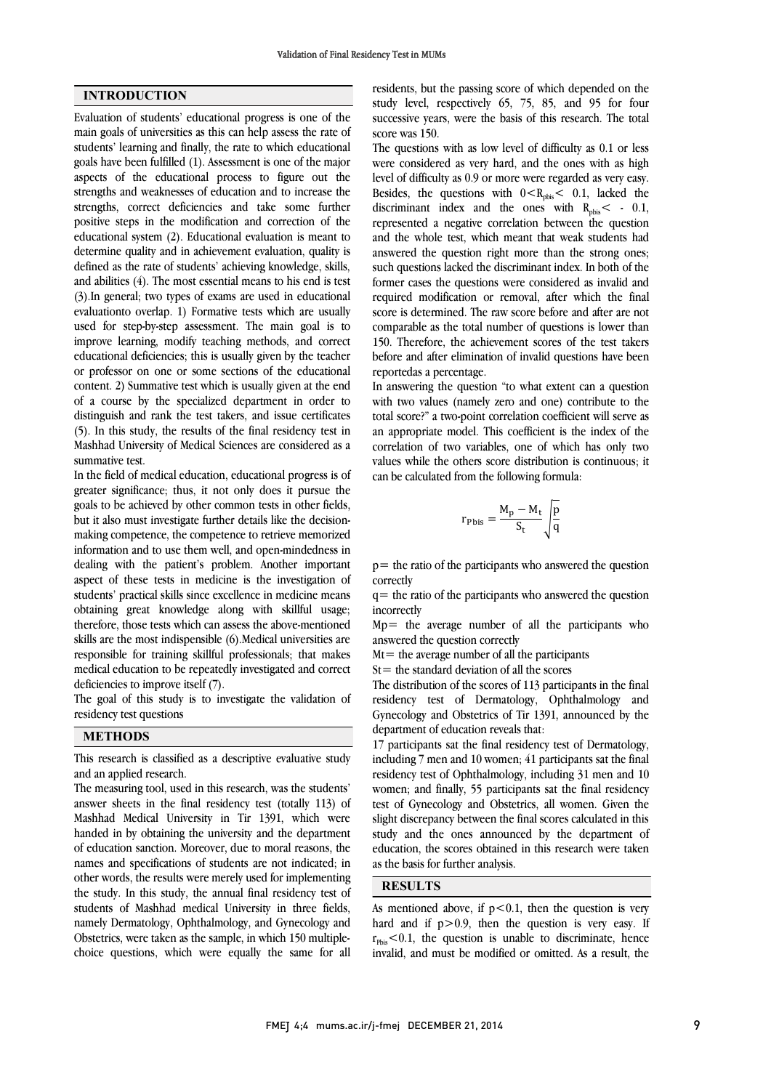## INTRODUCTION

Evaluation of students' educational progress is one of the main goals of universities as this can help assess the rate of students' learning and finally, the rate to which educational goals have been fulfilled (1). Assessment is one of the major aspects of the educational process to figure out the strengths and weaknesses of education and to increase the strengths, correct deficiencies and take some further positive steps in the modification and correction of the educational system (2). Educational evaluation is meant to determine quality and in achievement evaluation, quality is defined as the rate of students' achieving knowledge, skills, and abilities (4). The most essential means to his end is test (3).In general; two types of exams are used in educational evaluationto overlap. 1) Formative tests which are usually used for step-by-step assessment. The main goal is to improve learning, modify teaching methods, and correct educational deficiencies; this is usually given by the teacher or professor on one or some sections of the educational content. 2) Summative test which is usually given at the end of a course by the specialized department in order to distinguish and rank the test takers, and issue certificates (5). In this study, the results of the final residency test in Mashhad University of Medical Sciences are considered as a summative test.

In the field of medical education, educational progress is of greater significance; thus, it not only does it pursue the goals to be achieved by other common tests in other fields, but it also must investigate further details like the decisionmaking competence, the competence to retrieve memorized information and to use them well, and open-mindedness in dealing with the patient's problem. Another important aspect of these tests in medicine is the investigation of students' practical skills since excellence in medicine means obtaining great knowledge along with skillful usage; therefore, those tests which can assess the above-mentioned skills are the most indispensible (6).Medical universities are responsible for training skillful professionals; that makes medical education to be repeatedly investigated and correct deficiencies to improve itself (7).

The goal of this study is to investigate the validation of residency test questions

#### METHODS

This research is classified as a descriptive evaluative study and an applied research.

The measuring tool, used in this research, was the students' answer sheets in the final residency test (totally 113) of Mashhad Medical University in Tir 1391, which were handed in by obtaining the university and the department of education sanction. Moreover, due to moral reasons, the names and specifications of students are not indicated; in other words, the results were merely used for implementing the study. In this study, the annual final residency test of students of Mashhad medical University in three fields, namely Dermatology, Ophthalmology, and Gynecology and Obstetrics, were taken as the sample, in which 150 multiplechoice questions, which were equally the same for all  residents, but the passing score of which depended on the study level, respectively 65, 75, 85, and 95 for four successive years, were the basis of this research. The total score was 150.

were considered as very hard, and the ones with as high level of difficulty as 0.9 or more were regarded as very easy. Besides, the questions with  $0 < R_{\text{pbis}} < 0.1$ , lacked the discriminant index and the ones with  $R_{\text{pbis}} < . 0.1$ , and the whole test, which meant that weak students had answered the question right more than the strong ones; such questions lacked the discriminant index. In both of the former cases the questions were considered as invalid and score is determined. The raw score before and after are not comparable as the total number of questions is lower than 150. Therefore, the achievement scores of the test takers before and after elimination of invalid questions have been The questions with as low level of difficulty as 0.1 or less represented a negative correlation between the question required modification or removal, after which the final reportedas a percentage.

 In answering the question "to what extent can a question with two values (namely zero and one) contribute to the total score?" a two-point correlation coefficient will serve as an appropriate model. This coefficient is the index of the values while the others score distribution is continuous; it can be calculated from the following formula: correlation of two variables, one of which has only two

$$
r_{\rm Pbis} = \frac{M_{\rm p} - M_{\rm t}}{S_{\rm t}} \sqrt{\frac{p}{q}}
$$

 p= the ratio of the participants who answered the question correctly

 incorrectly  $q=$  the ratio of the participants who answered the question

 Mp= the average number of all the participants who answered the question correctly

 $Mt =$  the average number of all the participants

 $St$  the standard deviation of all the scores

 The distribution of the scores of 113 participants in the final residency test of Dermatology, Ophthalmology and Gynecology and Obstetrics of Tir 1391, announced by the department of education reveals that:

 including 7 men and 10 women; 41 participants sat the final residency test of Ophthalmology, including 31 men and 10 women; and finally, 55 participants sat the final residency slight discrepancy between the final scores calculated in this study and the ones announced by the department of education, the scores obtained in this research were taken as the basis for further analysis. 17 participants sat the final residency test of Dermatology, test of Gynecology and Obstetrics, all women. Given the

## RESULTS

As mentioned above, if  $p < 0.1$ , then the question is very hard and if  $p > 0.9$ , then the question is very easy. If  $r_{\text{Pbis}}$  < 0.1, the question is unable to discriminate, hence invalid, and must be modified or omitted. As a result, the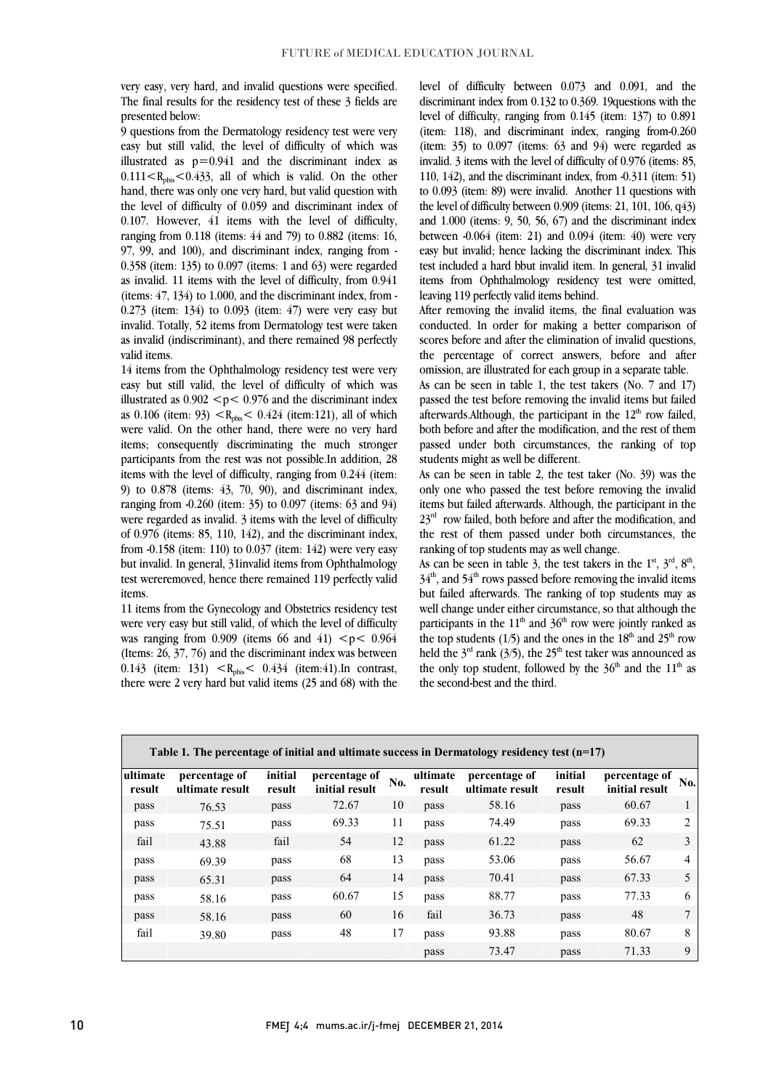very easy, very hard, and invalid questions were specified. The final results for the residency test of these 3 fields are presented below:

9 questions from the Dermatology residency test were very illustrated as  $p=0.941$  and the discriminant index as  $0.111 < R_{\text{pbis}} < 0.433$ , all of which is valid. On the other hand, there was only one very hard, but valid question with the level of difficulty of  $0.059$  and discriminant index of ranging from  $0.118$  (items: 44 and 79) to 0.882 (items: 16, 97, 99, and 100), and discriminant index, ranging from - 0.358 (item: 135) to 0.097 (items: 1 and 63) were regarded (items:  $47$ ,  $134$ ) to  $1.000$ , and the discriminant index, from  $0.273$  (item: 134) to 0.093 (item: 47) were very easy but invalid. Totally, 52 items from Dermatology test were taken as invalid (indiscriminant), and there remained 98 perfectly easy but still valid, the level of difficulty of which was 0.107. However, 41 items with the level of difficulty, as invalid. 11 items with the level of difficulty, from 0.941 valid items.

 14 items from the Ophthalmology residency test were very easy but still valid, the level of difficulty of which was illustrated as  $0.902 < p < 0.976$  and the discriminant index as 0.106 (item: 93)  $\langle R_{\text{pbis}} \rangle \langle 0.424 \rangle$  (item:121), all of which items; consequently discriminating the much stronger participants from the rest was not possible.In addition, 28 items with the level of difficulty, ranging from 0.244 (item: 9) to 0.878 (items: 43, 70, 90), and discriminant index, were regarded as invalid. 3 items with the level of difficulty of 0.976 (items: 85, 110, 142), and the discriminant index, from -0.158 (item: 110) to 0.037 (item: 142) were very easy but invalid. In general, 31invalid items from Ophthalmology test wereremoved, hence there remained 119 perfectly valid were valid. On the other hand, there were no very hard ranging from -0.260 (item: 35) to 0.097 (items: 63 and 94) items.

 11 items from the Gynecology and Obstetrics residency test were very easy but still valid, of which the level of difficulty was ranging from 0.909 (items 66 and 41)  $\leq p \leq 0.964$ 0.143 (item: 131)  $\langle R_{\text{pbis}} \rangle$  0.434 (item:41). In contrast, there were 2 very hard but valid items (25 and 68) with the (Items: 26, 37, 76) and the discriminant index was between

 level of difficulty between 0.073 and 0.091, and the discriminant index from 0.132 to 0.369. 19questions with the level of difficulty, ranging from 0.145 (item: 137) to 0.891  $($ item:  $150$ , and discriminant modes, ranging non-0.200  $($ item:  $35)$  to 0.097 (items:  $63$  and 94) were regarded as invalid. 3 items with the level of difficulty of 0.976 (items: 85, 110, 142), and the discriminant index, from -0.311 (item: 51) to 0.093 (item: 89) were invalid. Another 11 questions with the level of difficulty between  $0.909$  (items:  $21, 101, 106, q43$ ) between  $-0.064$  (item: 21) and 0.094 (item: 40) were very easy but invalid; hence lacking the discriminant index. This test included a hard bbut invalid item. In general, 31 invalid items from Ophthalmology residency test were omitted, (item: 118), and discriminant index, ranging from-0.260 and 1.000 (items: 9, 50, 56, 67) and the discriminant index leaving 119 perfectly valid items behind.

 After removing the invalid items, the final evaluation was conducted. In order for making a better comparison of scores before and after the elimination of invalid questions, the percentage of correct answers, before and after omission, are illustrated for each group in a separate table.

As can be seen in table 1, the test takers (No. 7 and 17) passed the test before removing the invalid items but failed afterwards.Although, the participant in the  $12<sup>th</sup>$  row failed, passed under both circumstances, the ranking of top both before and after the modification, and the rest of them students might as well be different.

 As can be seen in table 2, the test taker (No. 39) was the only one who passed the test before removing the invalid  $23<sup>rd</sup>$  row failed, both before and after the modification, and the rest of them passed under both circumstances, the items but failed afterwards. Although, the participant in the ranking of top students may as well change.

As can be seen in table 3, the test takers in the  $1^{st}$ ,  $3^{rd}$ ,  $8^{th}$ , but failed afterwards. The ranking of top students may as well change under either circumstance, so that although the participants in the  $11<sup>th</sup>$  and  $36<sup>th</sup>$  row were jointly ranked as the top students (1/5) and the ones in the  $18<sup>th</sup>$  and  $25<sup>th</sup>$  row the only top student, followed by the  $36<sup>th</sup>$  and the  $11<sup>th</sup>$  as  $34<sup>th</sup>$ , and  $54<sup>th</sup>$  rows passed before removing the invalid items held the  $3<sup>rd</sup>$  rank (3/5), the 25<sup>th</sup> test taker was announced as the second-best and the third.

| Table 1. The percentage of initial and ultimate success in Dermatology residency test $(n=17)$ |                                  |                   |                                 |     |                    |                                  |                   |                                 |              |  |
|------------------------------------------------------------------------------------------------|----------------------------------|-------------------|---------------------------------|-----|--------------------|----------------------------------|-------------------|---------------------------------|--------------|--|
| ultimate<br>result                                                                             | percentage of<br>ultimate result | initial<br>result | percentage of<br>initial result | No. | ultimate<br>result | percentage of<br>ultimate result | initial<br>result | percentage of<br>initial result | No.          |  |
| pass                                                                                           | 76.53                            | pass              | 72.67                           | 10  | pass               | 58.16                            | pass              | 60.67                           |              |  |
| pass                                                                                           | 75.51                            | pass              | 69.33                           | 11  | pass               | 74.49                            | pass              | 69.33                           | 2            |  |
| fail                                                                                           | 43.88                            | fail              | 54                              | 12  | pass               | 61.22                            | pass              | 62                              | 3            |  |
| pass                                                                                           | 69.39                            | pass              | 68                              | 13  | pass               | 53.06                            | pass              | 56.67                           | 4            |  |
| pass                                                                                           | 65.31                            | pass              | 64                              | 14  | pass               | 70.41                            | pass              | 67.33                           | 5            |  |
| pass                                                                                           | 58.16                            | pass              | 60.67                           | 15  | pass               | 88.77                            | pass              | 77.33                           | 6            |  |
| pass                                                                                           | 58.16                            | pass              | 60                              | 16  | fail               | 36.73                            | pass              | 48                              | $\mathbf{r}$ |  |
| fail                                                                                           | 39.80                            | pass              | 48                              | 17  | pass               | 93.88                            | pass              | 80.67                           | 8            |  |
|                                                                                                |                                  |                   |                                 |     | pass               | 73.47                            | pass              | 71.33                           | 9            |  |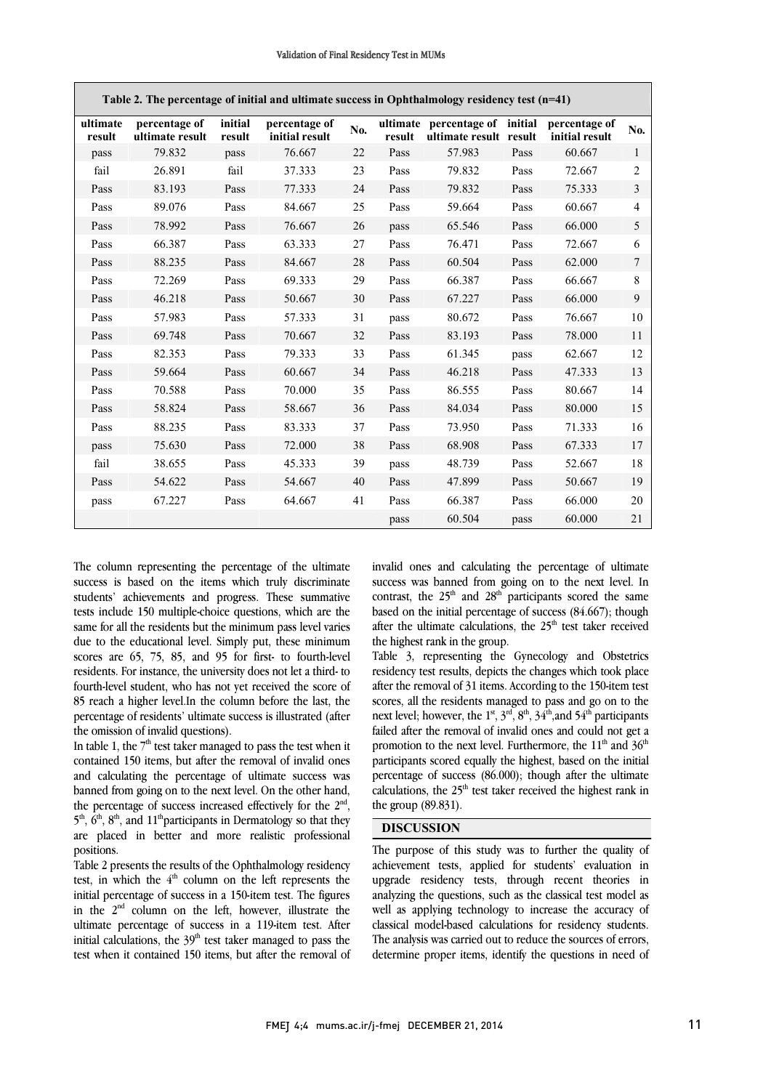$\overline{\phantom{a}}$ 

| Table 2. The percentage of initial and ultimate success in Ophthalmology residency test (n=41) |                                  |                   |                                 |     |        |                                                          |      |                                 |                         |
|------------------------------------------------------------------------------------------------|----------------------------------|-------------------|---------------------------------|-----|--------|----------------------------------------------------------|------|---------------------------------|-------------------------|
| ultimate<br>result                                                                             | percentage of<br>ultimate result | initial<br>result | percentage of<br>initial result | No. | result | ultimate percentage of initial<br>ultimate result result |      | percentage of<br>initial result | No.                     |
| pass                                                                                           | 79.832                           | pass              | 76.667                          | 22  | Pass   | 57.983                                                   | Pass | 60.667                          | 1                       |
| fail                                                                                           | 26.891                           | fail              | 37.333                          | 23  | Pass   | 79.832                                                   | Pass | 72.667                          | $\overline{2}$          |
| Pass                                                                                           | 83.193                           | Pass              | 77.333                          | 24  | Pass   | 79.832                                                   | Pass | 75.333                          | $\overline{\mathbf{3}}$ |
| Pass                                                                                           | 89.076                           | Pass              | 84.667                          | 25  | Pass   | 59.664                                                   | Pass | 60.667                          | 4                       |
| Pass                                                                                           | 78.992                           | Pass              | 76.667                          | 26  | pass   | 65.546                                                   | Pass | 66.000                          | 5                       |
| Pass                                                                                           | 66.387                           | Pass              | 63.333                          | 27  | Pass   | 76.471                                                   | Pass | 72.667                          | 6                       |
| Pass                                                                                           | 88.235                           | Pass              | 84.667                          | 28  | Pass   | 60.504                                                   | Pass | 62.000                          | $\tau$                  |
| Pass                                                                                           | 72.269                           | Pass              | 69.333                          | 29  | Pass   | 66.387                                                   | Pass | 66.667                          | 8                       |
| Pass                                                                                           | 46.218                           | Pass              | 50.667                          | 30  | Pass   | 67.227                                                   | Pass | 66.000                          | 9                       |
| Pass                                                                                           | 57.983                           | Pass              | 57.333                          | 31  | pass   | 80.672                                                   | Pass | 76.667                          | 10                      |
| Pass                                                                                           | 69.748                           | Pass              | 70.667                          | 32  | Pass   | 83.193                                                   | Pass | 78.000                          | 11                      |
| Pass                                                                                           | 82.353                           | Pass              | 79.333                          | 33  | Pass   | 61.345                                                   | pass | 62.667                          | 12                      |
| Pass                                                                                           | 59.664                           | Pass              | 60.667                          | 34  | Pass   | 46.218                                                   | Pass | 47.333                          | 13                      |
| Pass                                                                                           | 70.588                           | Pass              | 70.000                          | 35  | Pass   | 86.555                                                   | Pass | 80.667                          | 14                      |
| Pass                                                                                           | 58.824                           | Pass              | 58.667                          | 36  | Pass   | 84.034                                                   | Pass | 80.000                          | 15                      |
| Pass                                                                                           | 88.235                           | Pass              | 83.333                          | 37  | Pass   | 73.950                                                   | Pass | 71.333                          | 16                      |
| pass                                                                                           | 75.630                           | Pass              | 72.000                          | 38  | Pass   | 68.908                                                   | Pass | 67.333                          | 17                      |
| fail                                                                                           | 38.655                           | Pass              | 45.333                          | 39  | pass   | 48.739                                                   | Pass | 52.667                          | 18                      |
| Pass                                                                                           | 54.622                           | Pass              | 54.667                          | 40  | Pass   | 47.899                                                   | Pass | 50.667                          | 19                      |
| pass                                                                                           | 67.227                           | Pass              | 64.667                          | 41  | Pass   | 66.387                                                   | Pass | 66.000                          | 20                      |
|                                                                                                |                                  |                   |                                 |     | pass   | 60.504                                                   | pass | 60.000                          | 21                      |

The column representing the percentage of the ultimate success is based on the items which truly discriminate students' achievements and progress. These summative tests include 150 multiple-choice questions, which are the same for all the residents but the minimum pass level varies due to the educational level. Simply put, these minimum scores are 65, 75, 85, and 95 for first- to fourth-level residents. For instance, the university does not let a third- to fourth-level student, who has not yet received the score of 85 reach a higher level.In the column before the last, the percentage of residents' ultimate success is illustrated (after the omission of invalid questions).

In table 1, the  $7<sup>th</sup>$  test taker managed to pass the test when it contained 150 items, but after the removal of invalid ones and calculating the percentage of ultimate success was banned from going on to the next level. On the other hand, the percentage of success increased effectively for the  $2<sup>nd</sup>$ .  $5<sup>th</sup>$ ,  $6<sup>th</sup>$ ,  $8<sup>th</sup>$ , and  $11<sup>th</sup>$  participants in Dermatology so that they are placed in better and more realistic professional positions.

Table 2 presents the results of the Ophthalmology residency test, in which the  $4<sup>th</sup>$  column on the left represents the initial percentage of success in a 150-item test. The figures in the  $2<sup>nd</sup>$  column on the left, however, illustrate the ultimate percentage of success in a 119-item test. After initial calculations, the  $39<sup>th</sup>$  test taker managed to pass the test when it contained 150 items, but after the removal of

 invalid ones and calculating the percentage of ultimate success was banned from going on to the next level. In based on the initial percentage of success (84.667); though after the ultimate calculations, the  $25<sup>th</sup>$  test taker received the highest rank in the group. contrast, the  $25<sup>th</sup>$  and  $28<sup>th</sup>$  participants scored the same

 Table 3, representing the Gynecology and Obstetrics after the removal of 31 items. According to the 150-item test scores, all the residents managed to pass and go on to the next level; however, the  $1^{st}$ ,  $3^{rd}$ ,  $8^{th}$ ,  $34^{th}$ , and  $54^{th}$  participants failed after the removal of invalid ones and could not get a profited to the next force. Furthermore, the 11 thin 30 participants scored equally the highest, based on the initial percentage of success (86.000); though after the ultimate calculations, the  $25<sup>th</sup>$  test taker received the highest rank in the group (89.831). residency test results, depicts the changes which took place promotion to the next level. Furthermore, the  $11<sup>th</sup>$  and  $36<sup>th</sup>$ 

### DISCUSSION

 The purpose of this study was to further the quality of achievement tests, applied for students' evaluation in upgrade residency tests, through recent theories in well as applying technology to increase the accuracy of classical model-based calculations for residency students. The analysis was carried out to reduce the sources of errors, determine proper items, identify the questions in need of analyzing the questions, such as the classical test model as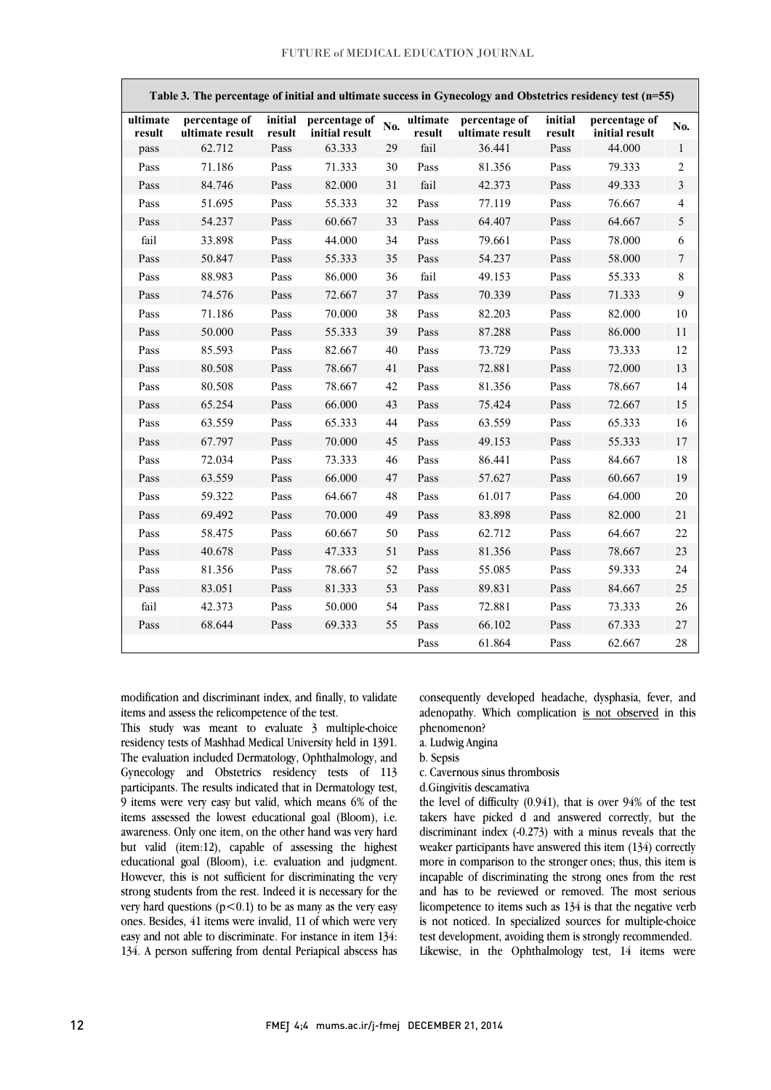| Table 3. The percentage of initial and ultimate success in Gynecology and Obstetrics residency test (n=55) |                                  |                   |                                 |     |                    |                                  |                   |                                 |                  |  |
|------------------------------------------------------------------------------------------------------------|----------------------------------|-------------------|---------------------------------|-----|--------------------|----------------------------------|-------------------|---------------------------------|------------------|--|
| ultimate<br>result                                                                                         | percentage of<br>ultimate result | initial<br>result | percentage of<br>initial result | No. | ultimate<br>result | percentage of<br>ultimate result | initial<br>result | percentage of<br>initial result | No.              |  |
| pass                                                                                                       | 62.712                           | Pass              | 63.333                          | 29  | fail               | 36.441                           | Pass              | 44.000                          | $\mathbf{1}$     |  |
| Pass                                                                                                       | 71.186                           | Pass              | 71.333                          | 30  | Pass               | 81.356                           | Pass              | 79.333                          | $\overline{2}$   |  |
| Pass                                                                                                       | 84.746                           | Pass              | 82.000                          | 31  | fail               | 42.373                           | Pass              | 49.333                          | $\overline{3}$   |  |
| Pass                                                                                                       | 51.695                           | Pass              | 55.333                          | 32  | Pass               | 77.119                           | Pass              | 76.667                          | $\overline{4}$   |  |
| Pass                                                                                                       | 54.237                           | Pass              | 60.667                          | 33  | Pass               | 64.407                           | Pass              | 64.667                          | 5                |  |
| fail                                                                                                       | 33.898                           | Pass              | 44.000                          | 34  | Pass               | 79.661                           | Pass              | 78.000                          | 6                |  |
| Pass                                                                                                       | 50.847                           | Pass              | 55.333                          | 35  | Pass               | 54.237                           | Pass              | 58.000                          | $\boldsymbol{7}$ |  |
| Pass                                                                                                       | 88.983                           | Pass              | 86.000                          | 36  | fail               | 49.153                           | Pass              | 55.333                          | 8                |  |
| Pass                                                                                                       | 74.576                           | Pass              | 72.667                          | 37  | Pass               | 70.339                           | Pass              | 71.333                          | 9                |  |
| Pass                                                                                                       | 71.186                           | Pass              | 70.000                          | 38  | Pass               | 82.203                           | Pass              | 82.000                          | 10               |  |
| Pass                                                                                                       | 50.000                           | Pass              | 55.333                          | 39  | Pass               | 87.288                           | Pass              | 86.000                          | 11               |  |
| Pass                                                                                                       | 85.593                           | Pass              | 82.667                          | 40  | Pass               | 73.729                           | Pass              | 73.333                          | 12               |  |
| Pass                                                                                                       | 80.508                           | Pass              | 78.667                          | 41  | Pass               | 72.881                           | Pass              | 72.000                          | 13               |  |
| Pass                                                                                                       | 80.508                           | Pass              | 78.667                          | 42  | Pass               | 81.356                           | Pass              | 78.667                          | 14               |  |
| Pass                                                                                                       | 65.254                           | Pass              | 66.000                          | 43  | Pass               | 75.424                           | Pass              | 72.667                          | 15               |  |
| Pass                                                                                                       | 63.559                           | Pass              | 65.333                          | 44  | Pass               | 63.559                           | Pass              | 65.333                          | 16               |  |
| Pass                                                                                                       | 67.797                           | Pass              | 70.000                          | 45  | Pass               | 49.153                           | Pass              | 55.333                          | 17               |  |
| Pass                                                                                                       | 72.034                           | Pass              | 73.333                          | 46  | Pass               | 86.441                           | Pass              | 84.667                          | 18               |  |
| Pass                                                                                                       | 63.559                           | Pass              | 66.000                          | 47  | Pass               | 57.627                           | Pass              | 60.667                          | 19               |  |
| Pass                                                                                                       | 59.322                           | Pass              | 64.667                          | 48  | Pass               | 61.017                           | Pass              | 64.000                          | 20               |  |
| Pass                                                                                                       | 69.492                           | Pass              | 70.000                          | 49  | Pass               | 83.898                           | Pass              | 82.000                          | 21               |  |
| Pass                                                                                                       | 58.475                           | Pass              | 60.667                          | 50  | Pass               | 62.712                           | Pass              | 64.667                          | 22               |  |
| Pass                                                                                                       | 40.678                           | Pass              | 47.333                          | 51  | Pass               | 81.356                           | Pass              | 78.667                          | 23               |  |
| Pass                                                                                                       | 81.356                           | Pass              | 78.667                          | 52  | Pass               | 55.085                           | Pass              | 59.333                          | 24               |  |
| Pass                                                                                                       | 83.051                           | Pass              | 81.333                          | 53  | Pass               | 89.831                           | Pass              | 84.667                          | 25               |  |
| fail                                                                                                       | 42.373                           | Pass              | 50.000                          | 54  | Pass               | 72.881                           | Pass              | 73.333                          | 26               |  |
| Pass                                                                                                       | 68.644                           | Pass              | 69.333                          | 55  | Pass               | 66.102                           | Pass              | 67.333                          | 27               |  |
|                                                                                                            |                                  |                   |                                 |     | Pass               | 61.864                           | Pass              | 62.667                          | 28               |  |

 modification and discriminant index, and finally, to validate items and assess the relicompetence of the test.

 residency tests of Mashhad Medical University held in 1391. The evaluation included Dermatology, Ophthalmology, and Gynecology and Obstetrics residency tests of 113 participants. The results indicated that in Dermatology test, items assessed the lowest educational goal (Bloom), i.e. awareness. Only one item, on the other hand was very hard but valid (item:12), capable of assessing the highest educational goal (Bloom), i.e. evaluation and judgment. strong students from the rest. Indeed it is necessary for the very hard questions  $(p<0.1)$  to be as many as the very easy ones. Besides, 41 items were invalid, 11 of which were very easy and not able to discriminate. For instance in item 134: 134. A person suffering from dental Periapical abscess has This study was meant to evaluate 3 multiple-choice 9 items were very easy but valid, which means 6% of the However, this is not sufficient for discriminating the very

 consequently developed headache, dysphasia, fever, and adenopathy. Which complication is not observed in this phenomenon?

a. Ludwig Angina

b. Sepsis

c. Cavernous sinus thrombosis

d.Gingivitis descamativa

 takers have picked d and answered correctly, but the discriminant index (-0.273) with a minus reveals that the weaker participants have answered this item (134) correctly more in comparison to the stronger ones; thus, this item is and has to be reviewed or removed. The most serious licompetence to items such as 134 is that the negative verb is not noticed. In specialized sources for multiple-choice test development, avoiding them is strongly recommended. Likewise, in the Ophthalmology test, 14 items were the level of difficulty (0.941), that is over 94% of the test incapable of discriminating the strong ones from the rest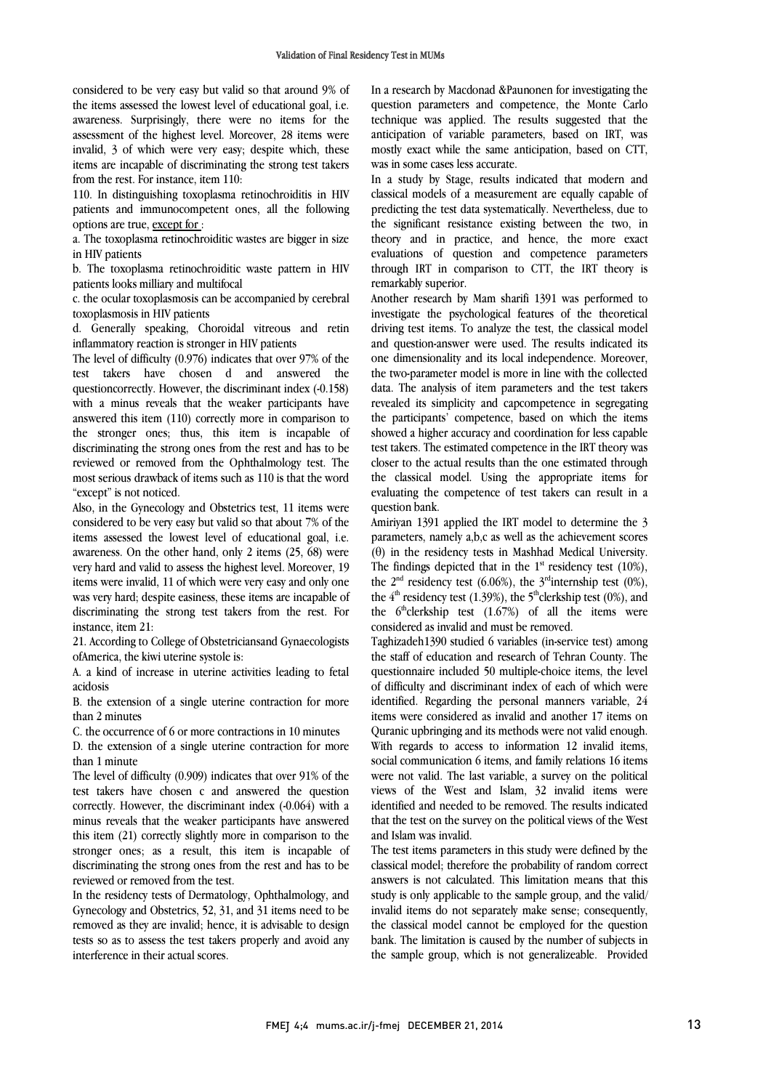considered to be very easy but valid so that around 9% of the items assessed the lowest level of educational goal, i.e. awareness. Surprisingly, there were no items for the assessment of the highest level. Moreover, 28 items were invalid, 3 of which were very easy; despite which, these items are incapable of discriminating the strong test takers from the rest. For instance, item 110:

110. In distinguishing toxoplasma retinochroiditis in HIV patients and immunocompetent ones, all the following options are true, except for :

a. The toxoplasma retinochroiditic wastes are bigger in size in HIV patients

b. The toxoplasma retinochroiditic waste pattern in HIV patients looks milliary and multifocal

c. the ocular toxoplasmosis can be accompanied by cerebral toxoplasmosis in HIV patients

d. Generally speaking, Choroidal vitreous and retin inflammatory reaction is stronger in HIV patients

The level of difficulty (0.976) indicates that over 97% of the test takers have chosen d and answered the questioncorrectly. However, the discriminant index (-0.158) with a minus reveals that the weaker participants have answered this item (110) correctly more in comparison to the stronger ones; thus, this item is incapable of discriminating the strong ones from the rest and has to be reviewed or removed from the Ophthalmology test. The most serious drawback of items such as 110 is that the word "except" is not noticed.

Also, in the Gynecology and Obstetrics test, 11 items were considered to be very easy but valid so that about 7% of the items assessed the lowest level of educational goal, i.e. awareness. On the other hand, only 2 items (25, 68) were very hard and valid to assess the highest level. Moreover, 19 items were invalid, 11 of which were very easy and only one was very hard; despite easiness, these items are incapable of discriminating the strong test takers from the rest. For instance, item 21:

21. According to College of Obstetriciansand Gynaecologists ofAmerica, the kiwi uterine systole is:

A. a kind of increase in uterine activities leading to fetal acidosis

B. the extension of a single uterine contraction for more than 2 minutes

C. the occurrence of 6 or more contractions in 10 minutes

D. the extension of a single uterine contraction for more than 1 minute

The level of difficulty (0.909) indicates that over 91% of the test takers have chosen c and answered the question correctly. However, the discriminant index (-0.064) with a minus reveals that the weaker participants have answered this item (21) correctly slightly more in comparison to the stronger ones; as a result, this item is incapable of discriminating the strong ones from the rest and has to be reviewed or removed from the test.

In the residency tests of Dermatology, Ophthalmology, and Gynecology and Obstetrics, 52, 31, and 31 items need to be removed as they are invalid; hence, it is advisable to design tests so as to assess the test takers properly and avoid any interference in their actual scores.

 In a research by Macdonad &Paunonen for investigating the question parameters and competence, the Monte Carlo technique was applied. The results suggested that the anticipation of variable parameters, based on IRT, was was in some cases less accurate. mostly exact while the same anticipation, based on CTT,

 In a study by Stage, results indicated that modern and classical models of a measurement are equally capable of predicting the test data systematically. Nevertheless, due to theory and in practice, and hence, the more exact evaluations of question and competence parameters through IRT in comparison to CTT, the IRT theory is remarkably superior. the significant resistance existing between the two, in

investigate the psychological features of the theoretical driving test items. To analyze the test, the classical model and question-answer were used. The results indicated its one dimensionality and its local independence. Moreover, data. The analysis of item parameters and the test takers revealed its simplicity and capcompetence in segregating the participants' competence, based on which the items showed a higher accuracy and coordination for less capable closer to the actual results than the one estimated through the classical model. Using the appropriate items for evaluating the competence of test takers can result in a question bank. Another research by Mam sharifi 1391 was performed to the two-parameter model is more in line with the collected test takers. The estimated competence in the IRT theory was

 parameters, namely a,b,c as well as the achievement scores (θ) in the residency tests in Mashhad Medical University. The findings depicted that in the  $1<sup>st</sup>$  residency test (10%), the  $2<sup>nd</sup>$  residency test (6.06%), the 3<sup>rd</sup>internship test (0%), the  $6<sup>th</sup>$ clerkship test (1.67%) of all the items were considered as invalid and must be removed. Amiriyan 1391 applied the IRT model to determine the 3 the  $4<sup>th</sup>$  residency test (1.39%), the 5<sup>th</sup>clerkship test (0%), and

 Taghizadeh1390 studied 6 variables (in-service test) among the staff of education and research of Tehran County. The of difficulty and discriminant index of each of which were identified. Regarding the personal manners variable, 24 items were considered as invalid and another 17 items on Quranic upbringing and its methods were not valid enough. social communication 6 items, and family relations 16 items, were not valid. The last variable, a survey on the political views of the West and Islam, 32 invalid items were identified and needed to be removed. The results indicated and Islam was invalid. questionnaire included 50 multiple-choice items, the level With regards to access to information 12 invalid items, that the test on the survey on the political views of the West

 The test items parameters in this study were defined by the classical model; therefore the probability of random correct answers is not calculated. This limitation means that this invalid items do not separately make sense; consequently, the classical model cannot be employed for the question bank. The limitation is caused by the number of subjects in the sample group, which is not generalizeable. Provided study is only applicable to the sample group, and the valid/